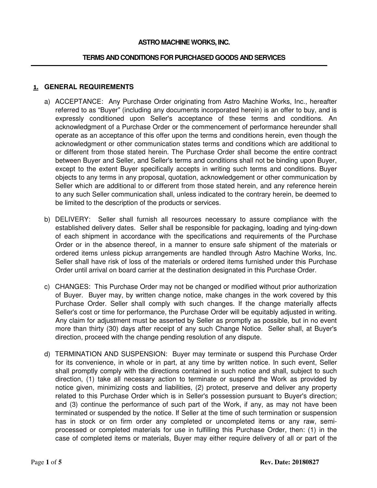### **ASTRO MACHINE WORKS, INC.**

#### **TERMS AND CONDITIONS FOR PURCHASED GOODS AND SERVICES**

### **1. GENERAL REQUIREMENTS**

- a) ACCEPTANCE: Any Purchase Order originating from Astro Machine Works, Inc., hereafter referred to as "Buyer" (including any documents incorporated herein) is an offer to buy, and is expressly conditioned upon Seller's acceptance of these terms and conditions. An acknowledgment of a Purchase Order or the commencement of performance hereunder shall operate as an acceptance of this offer upon the terms and conditions herein, even though the acknowledgment or other communication states terms and conditions which are additional to or different from those stated herein. The Purchase Order shall become the entire contract between Buyer and Seller, and Seller's terms and conditions shall not be binding upon Buyer, except to the extent Buyer specifically accepts in writing such terms and conditions. Buyer objects to any terms in any proposal, quotation, acknowledgement or other communication by Seller which are additional to or different from those stated herein, and any reference herein to any such Seller communication shall, unless indicated to the contrary herein, be deemed to be limited to the description of the products or services.
- b) DELIVERY: Seller shall furnish all resources necessary to assure compliance with the established delivery dates. Seller shall be responsible for packaging, loading and tying-down of each shipment in accordance with the specifications and requirements of the Purchase Order or in the absence thereof, in a manner to ensure safe shipment of the materials or ordered items unless pickup arrangements are handled through Astro Machine Works, Inc. Seller shall have risk of loss of the materials or ordered items furnished under this Purchase Order until arrival on board carrier at the destination designated in this Purchase Order.
- c) CHANGES: This Purchase Order may not be changed or modified without prior authorization of Buyer. Buyer may, by written change notice, make changes in the work covered by this Purchase Order. Seller shall comply with such changes. If the change materially affects Seller's cost or time for performance, the Purchase Order will be equitably adjusted in writing. Any claim for adjustment must be asserted by Seller as promptly as possible, but in no event more than thirty (30) days after receipt of any such Change Notice. Seller shall, at Buyer's direction, proceed with the change pending resolution of any dispute.
- d) TERMINATION AND SUSPENSION: Buyer may terminate or suspend this Purchase Order for its convenience, in whole or in part, at any time by written notice. In such event, Seller shall promptly comply with the directions contained in such notice and shall, subject to such direction, (1) take all necessary action to terminate or suspend the Work as provided by notice given, minimizing costs and liabilities, (2) protect, preserve and deliver any property related to this Purchase Order which is in Seller's possession pursuant to Buyer's direction; and (3) continue the performance of such part of the Work, if any, as may not have been terminated or suspended by the notice. If Seller at the time of such termination or suspension has in stock or on firm order any completed or uncompleted items or any raw, semiprocessed or completed materials for use in fulfilling this Purchase Order, then: (1) in the case of completed items or materials, Buyer may either require delivery of all or part of the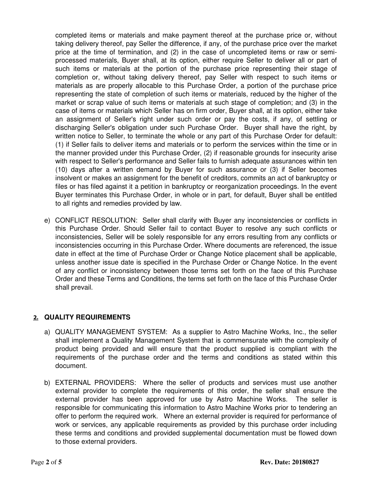completed items or materials and make payment thereof at the purchase price or, without taking delivery thereof, pay Seller the difference, if any, of the purchase price over the market price at the time of termination, and (2) in the case of uncompleted items or raw or semiprocessed materials, Buyer shall, at its option, either require Seller to deliver all or part of such items or materials at the portion of the purchase price representing their stage of completion or, without taking delivery thereof, pay Seller with respect to such items or materials as are properly allocable to this Purchase Order, a portion of the purchase price representing the state of completion of such items or materials, reduced by the higher of the market or scrap value of such items or materials at such stage of completion; and (3) in the case of items or materials which Seller has on firm order, Buyer shall, at its option, either take an assignment of Seller's right under such order or pay the costs, if any, of settling or discharging Seller's obligation under such Purchase Order. Buyer shall have the right, by written notice to Seller, to terminate the whole or any part of this Purchase Order for default: (1) if Seller fails to deliver items and materials or to perform the services within the time or in the manner provided under this Purchase Order, (2) if reasonable grounds for insecurity arise with respect to Seller's performance and Seller fails to furnish adequate assurances within ten (10) days after a written demand by Buyer for such assurance or (3) if Seller becomes insolvent or makes an assignment for the benefit of creditors, commits an act of bankruptcy or files or has filed against it a petition in bankruptcy or reorganization proceedings. In the event Buyer terminates this Purchase Order, in whole or in part, for default, Buyer shall be entitled to all rights and remedies provided by law.

e) CONFLICT RESOLUTION: Seller shall clarify with Buyer any inconsistencies or conflicts in this Purchase Order. Should Seller fail to contact Buyer to resolve any such conflicts or inconsistencies, Seller will be solely responsible for any errors resulting from any conflicts or inconsistencies occurring in this Purchase Order. Where documents are referenced, the issue date in effect at the time of Purchase Order or Change Notice placement shall be applicable, unless another issue date is specified in the Purchase Order or Change Notice. In the event of any conflict or inconsistency between those terms set forth on the face of this Purchase Order and these Terms and Conditions, the terms set forth on the face of this Purchase Order shall prevail.

# **2. QUALITY REQUIREMENTS**

- a) QUALITY MANAGEMENT SYSTEM: As a supplier to Astro Machine Works, Inc., the seller shall implement a Quality Management System that is commensurate with the complexity of product being provided and will ensure that the product supplied is compliant with the requirements of the purchase order and the terms and conditions as stated within this document.
- b) EXTERNAL PROVIDERS: Where the seller of products and services must use another external provider to complete the requirements of this order, the seller shall ensure the external provider has been approved for use by Astro Machine Works. The seller is responsible for communicating this information to Astro Machine Works prior to tendering an offer to perform the required work. Where an external provider is required for performance of work or services, any applicable requirements as provided by this purchase order including these terms and conditions and provided supplemental documentation must be flowed down to those external providers.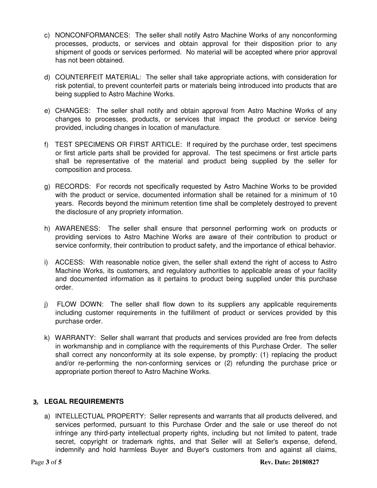- c) NONCONFORMANCES: The seller shall notify Astro Machine Works of any nonconforming processes, products, or services and obtain approval for their disposition prior to any shipment of goods or services performed. No material will be accepted where prior approval has not been obtained.
- d) COUNTERFEIT MATERIAL: The seller shall take appropriate actions, with consideration for risk potential, to prevent counterfeit parts or materials being introduced into products that are being supplied to Astro Machine Works.
- e) CHANGES: The seller shall notify and obtain approval from Astro Machine Works of any changes to processes, products, or services that impact the product or service being provided, including changes in location of manufacture.
- f) TEST SPECIMENS OR FIRST ARTICLE: If required by the purchase order, test specimens or first article parts shall be provided for approval. The test specimens or first article parts shall be representative of the material and product being supplied by the seller for composition and process.
- g) RECORDS: For records not specifically requested by Astro Machine Works to be provided with the product or service, documented information shall be retained for a minimum of 10 years. Records beyond the minimum retention time shall be completely destroyed to prevent the disclosure of any propriety information.
- h) AWARENESS: The seller shall ensure that personnel performing work on products or providing services to Astro Machine Works are aware of their contribution to product or service conformity, their contribution to product safety, and the importance of ethical behavior.
- i) ACCESS: With reasonable notice given, the seller shall extend the right of access to Astro Machine Works, its customers, and regulatory authorities to applicable areas of your facility and documented information as it pertains to product being supplied under this purchase order.
- j) FLOW DOWN: The seller shall flow down to its suppliers any applicable requirements including customer requirements in the fulfillment of product or services provided by this purchase order.
- k) WARRANTY: Seller shall warrant that products and services provided are free from defects in workmanship and in compliance with the requirements of this Purchase Order. The seller shall correct any nonconformity at its sole expense, by promptly: (1) replacing the product and/or re-performing the non-conforming services or (2) refunding the purchase price or appropriate portion thereof to Astro Machine Works.

# **3. LEGAL REQUIREMENTS**

a) INTELLECTUAL PROPERTY: Seller represents and warrants that all products delivered, and services performed, pursuant to this Purchase Order and the sale or use thereof do not infringe any third-party intellectual property rights, including but not limited to patent, trade secret, copyright or trademark rights, and that Seller will at Seller's expense, defend, indemnify and hold harmless Buyer and Buyer's customers from and against all claims,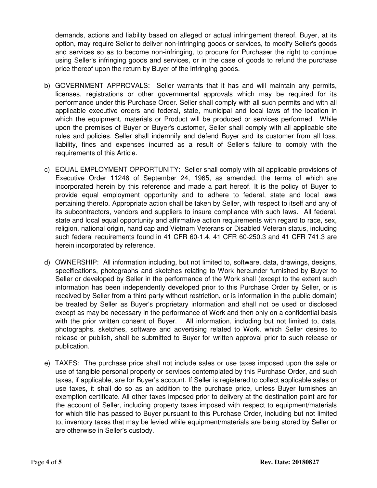demands, actions and liability based on alleged or actual infringement thereof. Buyer, at its option, may require Seller to deliver non-infringing goods or services, to modify Seller's goods and services so as to become non-infringing, to procure for Purchaser the right to continue using Seller's infringing goods and services, or in the case of goods to refund the purchase price thereof upon the return by Buyer of the infringing goods.

- b) GOVERNMENT APPROVALS: Seller warrants that it has and will maintain any permits, licenses, registrations or other governmental approvals which may be required for its performance under this Purchase Order. Seller shall comply with all such permits and with all applicable executive orders and federal, state, municipal and local laws of the location in which the equipment, materials or Product will be produced or services performed. While upon the premises of Buyer or Buyer's customer, Seller shall comply with all applicable site rules and policies. Seller shall indemnify and defend Buyer and its customer from all loss, liability, fines and expenses incurred as a result of Seller's failure to comply with the requirements of this Article.
- c) EQUAL EMPLOYMENT OPPORTUNITY: Seller shall comply with all applicable provisions of Executive Order 11246 of September 24, 1965, as amended, the terms of which are incorporated herein by this reference and made a part hereof. It is the policy of Buyer to provide equal employment opportunity and to adhere to federal, state and local laws pertaining thereto. Appropriate action shall be taken by Seller, with respect to itself and any of its subcontractors, vendors and suppliers to insure compliance with such laws. All federal, state and local equal opportunity and affirmative action requirements with regard to race, sex, religion, national origin, handicap and Vietnam Veterans or Disabled Veteran status, including such federal requirements found in 41 CFR 60-1.4, 41 CFR 60-250.3 and 41 CFR 741.3 are herein incorporated by reference.
- d) OWNERSHIP: All information including, but not limited to, software, data, drawings, designs, specifications, photographs and sketches relating to Work hereunder furnished by Buyer to Seller or developed by Seller in the performance of the Work shall (except to the extent such information has been independently developed prior to this Purchase Order by Seller, or is received by Seller from a third party without restriction, or is information in the public domain) be treated by Seller as Buyer's proprietary information and shall not be used or disclosed except as may be necessary in the performance of Work and then only on a confidential basis with the prior written consent of Buyer. All information, including but not limited to, data, photographs, sketches, software and advertising related to Work, which Seller desires to release or publish, shall be submitted to Buyer for written approval prior to such release or publication.
- e) TAXES: The purchase price shall not include sales or use taxes imposed upon the sale or use of tangible personal property or services contemplated by this Purchase Order, and such taxes, if applicable, are for Buyer's account. If Seller is registered to collect applicable sales or use taxes, it shall do so as an addition to the purchase price, unless Buyer furnishes an exemption certificate. All other taxes imposed prior to delivery at the destination point are for the account of Seller, including property taxes imposed with respect to equipment/materials for which title has passed to Buyer pursuant to this Purchase Order, including but not limited to, inventory taxes that may be levied while equipment/materials are being stored by Seller or are otherwise in Seller's custody.